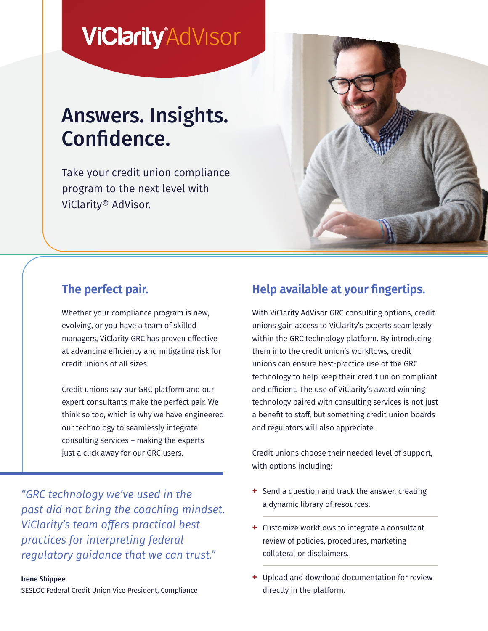# **ViClarity**<sup>AdVisor</sup>

# Answers. Insights. Confidence.

Take your credit union compliance program to the next level with ViClarity® AdVisor.



### **The perfect pair.**

Whether your compliance program is new, evolving, or you have a team of skilled managers, ViClarity GRC has proven effective at advancing efficiency and mitigating risk for credit unions of all sizes.

Credit unions say our GRC platform and our expert consultants make the perfect pair. We think so too, which is why we have engineered our technology to seamlessly integrate consulting services – making the experts just a click away for our GRC users.

*"GRC technology we've used in the past did not bring the coaching mindset. ViClarity's team offers practical best practices for interpreting federal regulatory guidance that we can trust."*

#### **Irene Shippee**

SESLOC Federal Credit Union Vice President, Compliance

### **Help available at your fingertips.**

With ViClarity AdVisor GRC consulting options, credit unions gain access to ViClarity's experts seamlessly within the GRC technology platform. By introducing them into the credit union's workflows, credit unions can ensure best-practice use of the GRC technology to help keep their credit union compliant and efficient. The use of ViClarity's award winning technology paired with consulting services is not just a benefit to staff, but something credit union boards and regulators will also appreciate.

Credit unions choose their needed level of support, with options including:

- **+** Send a question and track the answer, creating a dynamic library of resources.
- **+** Customize workflows to integrate a consultant review of policies, procedures, marketing collateral or disclaimers.
- **+** Upload and download documentation for review directly in the platform.